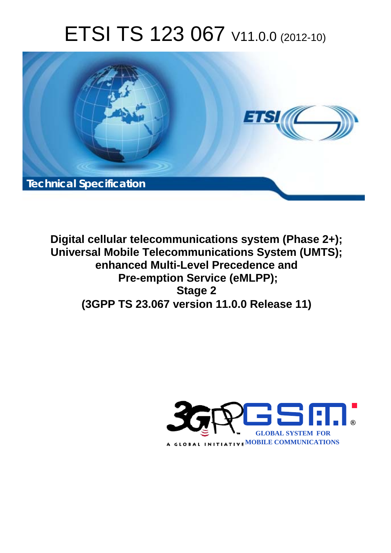# ETSI TS 123 067 V11.0.0 (2012-10)



**Digital cellular telecommunications system (Phase 2+); Universal Mobile Telecommunications System (UMTS); enhanced Multi-Level Precedence and Pre-emption Service (eMLPP); Stage 2 (3GPP TS 23.067 version 11.0.0 Release 11)** 

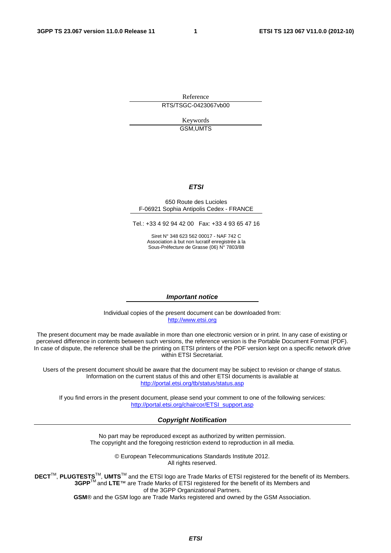Reference RTS/TSGC-0423067vb00

> Keywords GSM,UMTS

#### *ETSI*

#### 650 Route des Lucioles F-06921 Sophia Antipolis Cedex - FRANCE

Tel.: +33 4 92 94 42 00 Fax: +33 4 93 65 47 16

Siret N° 348 623 562 00017 - NAF 742 C Association à but non lucratif enregistrée à la Sous-Préfecture de Grasse (06) N° 7803/88

#### *Important notice*

Individual copies of the present document can be downloaded from: [http://www.etsi.org](http://www.etsi.org/)

The present document may be made available in more than one electronic version or in print. In any case of existing or perceived difference in contents between such versions, the reference version is the Portable Document Format (PDF). In case of dispute, the reference shall be the printing on ETSI printers of the PDF version kept on a specific network drive within ETSI Secretariat.

Users of the present document should be aware that the document may be subject to revision or change of status. Information on the current status of this and other ETSI documents is available at <http://portal.etsi.org/tb/status/status.asp>

If you find errors in the present document, please send your comment to one of the following services: [http://portal.etsi.org/chaircor/ETSI\\_support.asp](http://portal.etsi.org/chaircor/ETSI_support.asp)

#### *Copyright Notification*

No part may be reproduced except as authorized by written permission. The copyright and the foregoing restriction extend to reproduction in all media.

> © European Telecommunications Standards Institute 2012. All rights reserved.

DECT<sup>™</sup>, PLUGTESTS<sup>™</sup>, UMTS<sup>™</sup> and the ETSI logo are Trade Marks of ETSI registered for the benefit of its Members. **3GPP**TM and **LTE**™ are Trade Marks of ETSI registered for the benefit of its Members and of the 3GPP Organizational Partners.

**GSM**® and the GSM logo are Trade Marks registered and owned by the GSM Association.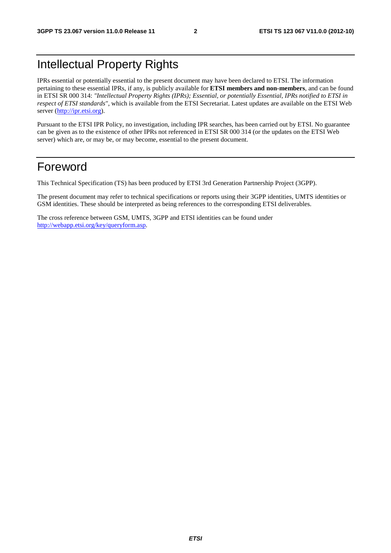# Intellectual Property Rights

IPRs essential or potentially essential to the present document may have been declared to ETSI. The information pertaining to these essential IPRs, if any, is publicly available for **ETSI members and non-members**, and can be found in ETSI SR 000 314: *"Intellectual Property Rights (IPRs); Essential, or potentially Essential, IPRs notified to ETSI in respect of ETSI standards"*, which is available from the ETSI Secretariat. Latest updates are available on the ETSI Web server ([http://ipr.etsi.org\)](http://webapp.etsi.org/IPR/home.asp).

Pursuant to the ETSI IPR Policy, no investigation, including IPR searches, has been carried out by ETSI. No guarantee can be given as to the existence of other IPRs not referenced in ETSI SR 000 314 (or the updates on the ETSI Web server) which are, or may be, or may become, essential to the present document.

### Foreword

This Technical Specification (TS) has been produced by ETSI 3rd Generation Partnership Project (3GPP).

The present document may refer to technical specifications or reports using their 3GPP identities, UMTS identities or GSM identities. These should be interpreted as being references to the corresponding ETSI deliverables.

The cross reference between GSM, UMTS, 3GPP and ETSI identities can be found under [http://webapp.etsi.org/key/queryform.asp.](http://webapp.etsi.org/key/queryform.asp)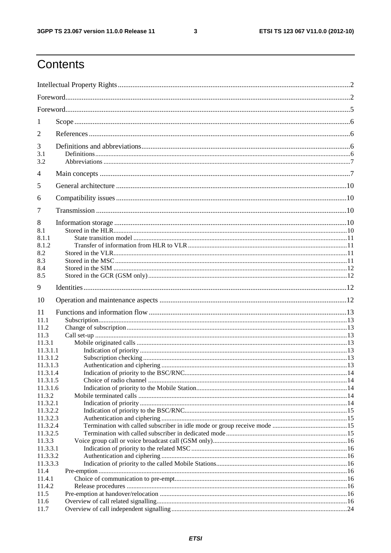$\mathbf{3}$ 

# Contents

| 1                  |  |  |  |  |  |  |
|--------------------|--|--|--|--|--|--|
| 2                  |  |  |  |  |  |  |
| 3                  |  |  |  |  |  |  |
| 3.1<br>3.2         |  |  |  |  |  |  |
|                    |  |  |  |  |  |  |
| 4                  |  |  |  |  |  |  |
| 5                  |  |  |  |  |  |  |
| 6                  |  |  |  |  |  |  |
| 7                  |  |  |  |  |  |  |
| 8                  |  |  |  |  |  |  |
| 8.1                |  |  |  |  |  |  |
| 8.1.1              |  |  |  |  |  |  |
| 8.1.2              |  |  |  |  |  |  |
| 8.2                |  |  |  |  |  |  |
| 8.3                |  |  |  |  |  |  |
| 8.4                |  |  |  |  |  |  |
| 8.5                |  |  |  |  |  |  |
| 9                  |  |  |  |  |  |  |
| 10                 |  |  |  |  |  |  |
| 11                 |  |  |  |  |  |  |
| 11.1               |  |  |  |  |  |  |
| 11.2               |  |  |  |  |  |  |
| 11.3               |  |  |  |  |  |  |
| 11.3.1             |  |  |  |  |  |  |
| 11.3.1.1           |  |  |  |  |  |  |
| 11.3.1.2           |  |  |  |  |  |  |
| 11.3.1.3           |  |  |  |  |  |  |
| 11.3.1.4           |  |  |  |  |  |  |
| 11.3.1.5           |  |  |  |  |  |  |
| 11.3.1.6<br>11.3.2 |  |  |  |  |  |  |
| 11.3.2.1           |  |  |  |  |  |  |
| 11.3.2.2           |  |  |  |  |  |  |
| 11.3.2.3           |  |  |  |  |  |  |
| 11.3.2.4           |  |  |  |  |  |  |
| 11.3.2.5           |  |  |  |  |  |  |
| 11.3.3             |  |  |  |  |  |  |
| 11.3.3.1           |  |  |  |  |  |  |
| 11.3.3.2           |  |  |  |  |  |  |
| 11.3.3.3           |  |  |  |  |  |  |
| 11.4               |  |  |  |  |  |  |
| 11.4.1             |  |  |  |  |  |  |
| 11.4.2             |  |  |  |  |  |  |
| 11.5               |  |  |  |  |  |  |
| 11.6               |  |  |  |  |  |  |
| 11.7               |  |  |  |  |  |  |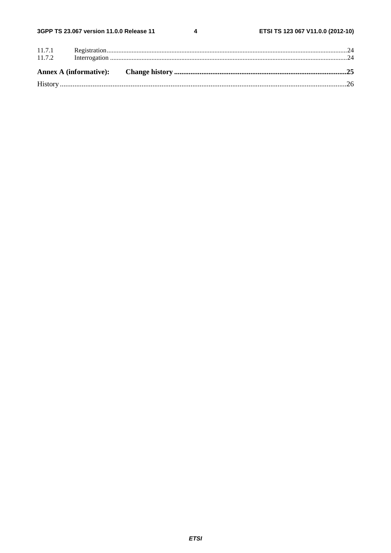$\overline{\mathbf{4}}$ 

| 11.7.2 |  |  |
|--------|--|--|
|        |  |  |
|        |  |  |
|        |  |  |
|        |  |  |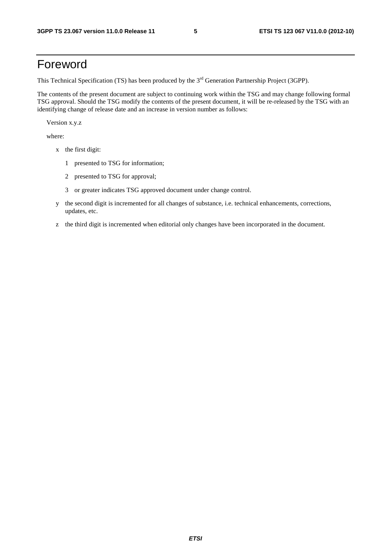# Foreword

This Technical Specification (TS) has been produced by the 3<sup>rd</sup> Generation Partnership Project (3GPP).

The contents of the present document are subject to continuing work within the TSG and may change following formal TSG approval. Should the TSG modify the contents of the present document, it will be re-released by the TSG with an identifying change of release date and an increase in version number as follows:

Version x.y.z

where:

- x the first digit:
	- 1 presented to TSG for information;
	- 2 presented to TSG for approval;
	- 3 or greater indicates TSG approved document under change control.
- y the second digit is incremented for all changes of substance, i.e. technical enhancements, corrections, updates, etc.
- z the third digit is incremented when editorial only changes have been incorporated in the document.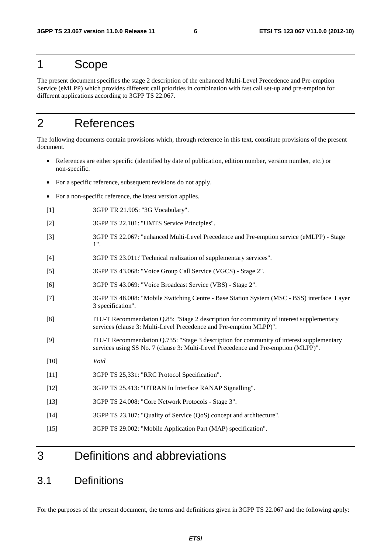### 1 Scope

The present document specifies the stage 2 description of the enhanced Multi-Level Precedence and Pre-emption Service (eMLPP) which provides different call priorities in combination with fast call set-up and pre-emption for different applications according to 3GPP TS 22.067.

# 2 References

The following documents contain provisions which, through reference in this text, constitute provisions of the present document.

- References are either specific (identified by date of publication, edition number, version number, etc.) or non-specific.
- For a specific reference, subsequent revisions do not apply.
- For a non-specific reference, the latest version applies.
- [1] 3GPP TR 21.905: "3G Vocabulary".
- [2] 3GPP TS 22.101: "UMTS Service Principles".
- [3] 3GPP TS 22.067: "enhanced Multi-Level Precedence and Pre-emption service (eMLPP) Stage 1".
- [4] 3GPP TS 23.011:"Technical realization of supplementary services".
- [5] 3GPP TS 43.068: "Voice Group Call Service (VGCS) Stage 2".
- [6] 3GPP TS 43.069: "Voice Broadcast Service (VBS) Stage 2".
- [7] 3GPP TS 48.008: "Mobile Switching Centre Base Station System (MSC BSS) interface Layer 3 specification".
- [8] ITU-T Recommendation Q.85: "Stage 2 description for community of interest supplementary services (clause 3: Multi-Level Precedence and Pre-emption MLPP)".
- [9] ITU-T Recommendation Q.735: "Stage 3 description for community of interest supplementary services using SS No. 7 (clause 3: Multi-Level Precedence and Pre-emption (MLPP)".
- [10] *Void*
- [11] 3GPP TS 25,331: "RRC Protocol Specification".
- [12] 3GPP TS 25.413: "UTRAN Iu Interface RANAP Signalling".
- [13] 3GPP TS 24.008: "Core Network Protocols Stage 3".
- [14] 3GPP TS 23.107: "Quality of Service (QoS) concept and architecture".
- [15] 3GPP TS 29.002: "Mobile Application Part (MAP) specification".

### 3 Definitions and abbreviations

### 3.1 Definitions

For the purposes of the present document, the terms and definitions given in 3GPP TS 22.067 and the following apply: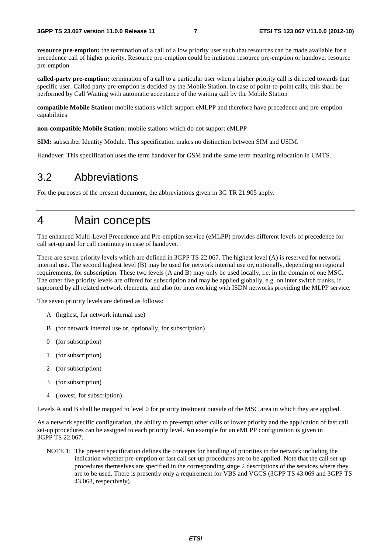**resource pre-emption:** the termination of a call of a low priority user such that resources can be made available for a precedence call of higher priority. Resource pre-emption could be initiation resource pre-emption or handover resource pre-emption

**called-party pre-emption:** termination of a call to a particular user when a higher priority call is directed towards that specific user. Called party pre-emption is decided by the Mobile Station. In case of point-to-point calls, this shall be performed by Call Waiting with automatic acceptance of the waiting call by the Mobile Station

**compatible Mobile Station:** mobile stations which support eMLPP and therefore have precedence and pre-emption capabilities

**non-compatible Mobile Station:** mobile stations which do not support eMLPP

**SIM:** subscriber Identity Module. This specification makes no distinction between SIM and USIM.

Handover: This specification uses the term handover for GSM and the same term meaning relocation in UMTS.

### 3.2 Abbreviations

For the purposes of the present document, the abbreviations given in 3G TR 21.905 apply.

### 4 Main concepts

The enhanced Multi-Level Precedence and Pre-emption service (eMLPP) provides different levels of precedence for call set-up and for call continuity in case of handover.

There are seven priority levels which are defined in 3GPP TS 22.067. The highest level (A) is reserved for network internal use. The second highest level (B) may be used for network internal use or, optionally, depending on regional requirements, for subscription. These two levels (A and B) may only be used locally, i.e. in the domain of one MSC. The other five priority levels are offered for subscription and may be applied globally, e.g. on inter switch trunks, if supported by all related network elements, and also for interworking with ISDN networks providing the MLPP service.

The seven priority levels are defined as follows:

- A (highest, for network internal use)
- B (for network internal use or, optionally, for subscription)
- 0 (for subscription)
- 1 (for subscription)
- 2 (for subscription)
- 3 (for subscription)
- 4 (lowest, for subscription).

Levels A and B shall be mapped to level 0 for priority treatment outside of the MSC area in which they are applied.

As a network specific configuration, the ability to pre-empt other calls of lower priority and the application of fast call set-up procedures can be assigned to each priority level. An example for an eMLPP configuration is given in 3GPP TS 22.067.

NOTE 1: The present specification defines the concepts for handling of priorities in the network including the indication whether pre-emption or fast call set-up procedures are to be applied. Note that the call set-up procedures themselves are specified in the corresponding stage 2 descriptions of the services where they are to be used. There is presently only a requirement for VBS and VGCS (3GPP TS 43.069 and 3GPP TS 43.068, respectively).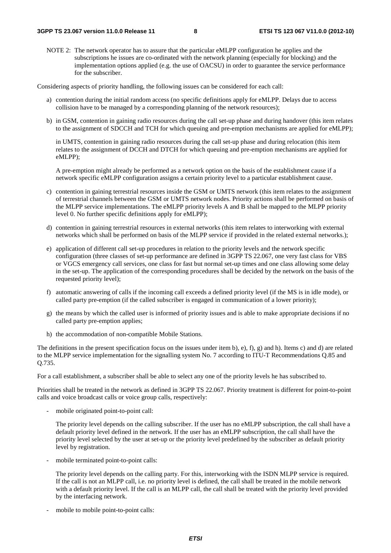NOTE 2: The network operator has to assure that the particular eMLPP configuration he applies and the subscriptions he issues are co-ordinated with the network planning (especially for blocking) and the implementation options applied (e.g. the use of OACSU) in order to guarantee the service performance for the subscriber.

Considering aspects of priority handling, the following issues can be considered for each call:

- a) contention during the initial random access (no specific definitions apply for eMLPP. Delays due to access collision have to be managed by a corresponding planning of the network resources);
- b) in GSM, contention in gaining radio resources during the call set-up phase and during handover (this item relates to the assignment of SDCCH and TCH for which queuing and pre-emption mechanisms are applied for eMLPP);

 in UMTS, contention in gaining radio resources during the call set-up phase and during relocation (this item relates to the assignment of DCCH and DTCH for which queuing and pre-emption mechanisms are applied for eMLPP);

 A pre-emption might already be performed as a network option on the basis of the establishment cause if a network specific eMLPP configuration assigns a certain priority level to a particular establishment cause.

- c) contention in gaining terrestrial resources inside the GSM or UMTS network (this item relates to the assignment of terrestrial channels between the GSM or UMTS network nodes. Priority actions shall be performed on basis of the MLPP service implementations. The eMLPP priority levels A and B shall be mapped to the MLPP priority level 0. No further specific definitions apply for eMLPP);
- d) contention in gaining terrestrial resources in external networks (this item relates to interworking with external networks which shall be performed on basis of the MLPP service if provided in the related external networks.);
- e) application of different call set-up procedures in relation to the priority levels and the network specific configuration (three classes of set-up performance are defined in 3GPP TS 22.067, one very fast class for VBS or VGCS emergency call services, one class for fast but normal set-up times and one class allowing some delay in the set-up. The application of the corresponding procedures shall be decided by the network on the basis of the requested priority level);
- f) automatic answering of calls if the incoming call exceeds a defined priority level (if the MS is in idle mode), or called party pre-emption (if the called subscriber is engaged in communication of a lower priority);
- g) the means by which the called user is informed of priority issues and is able to make appropriate decisions if no called party pre-emption applies;
- h) the accommodation of non-compatible Mobile Stations.

The definitions in the present specification focus on the issues under item b), e), f), g) and h). Items c) and d) are related to the MLPP service implementation for the signalling system No. 7 according to ITU-T Recommendations Q.85 and Q.735.

For a call establishment, a subscriber shall be able to select any one of the priority levels he has subscribed to.

Priorities shall be treated in the network as defined in 3GPP TS 22.067. Priority treatment is different for point-to-point calls and voice broadcast calls or voice group calls, respectively:

mobile originated point-to-point call:

 The priority level depends on the calling subscriber. If the user has no eMLPP subscription, the call shall have a default priority level defined in the network. If the user has an eMLPP subscription, the call shall have the priority level selected by the user at set-up or the priority level predefined by the subscriber as default priority level by registration.

mobile terminated point-to-point calls:

 The priority level depends on the calling party. For this, interworking with the ISDN MLPP service is required. If the call is not an MLPP call, i.e. no priority level is defined, the call shall be treated in the mobile network with a default priority level. If the call is an MLPP call, the call shall be treated with the priority level provided by the interfacing network.

mobile to mobile point-to-point calls: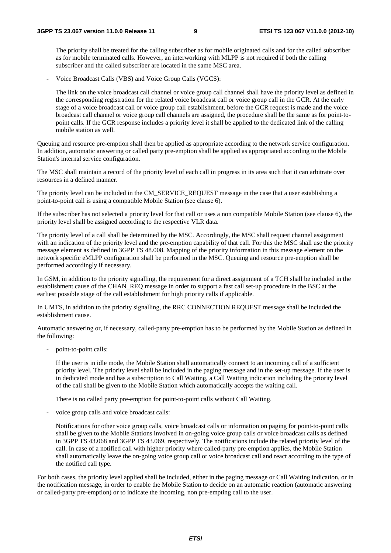The priority shall be treated for the calling subscriber as for mobile originated calls and for the called subscriber as for mobile terminated calls. However, an interworking with MLPP is not required if both the calling subscriber and the called subscriber are located in the same MSC area.

- Voice Broadcast Calls (VBS) and Voice Group Calls (VGCS):

 The link on the voice broadcast call channel or voice group call channel shall have the priority level as defined in the corresponding registration for the related voice broadcast call or voice group call in the GCR. At the early stage of a voice broadcast call or voice group call establishment, before the GCR request is made and the voice broadcast call channel or voice group call channels are assigned, the procedure shall be the same as for point-topoint calls. If the GCR response includes a priority level it shall be applied to the dedicated link of the calling mobile station as well.

Queuing and resource pre-emption shall then be applied as appropriate according to the network service configuration. In addition, automatic answering or called party pre-emption shall be applied as appropriated according to the Mobile Station's internal service configuration.

The MSC shall maintain a record of the priority level of each call in progress in its area such that it can arbitrate over resources in a defined manner.

The priority level can be included in the CM\_SERVICE\_REQUEST message in the case that a user establishing a point-to-point call is using a compatible Mobile Station (see clause 6).

If the subscriber has not selected a priority level for that call or uses a non compatible Mobile Station (see clause 6), the priority level shall be assigned according to the respective VLR data.

The priority level of a call shall be determined by the MSC. Accordingly, the MSC shall request channel assignment with an indication of the priority level and the pre-emption capability of that call. For this the MSC shall use the priority message element as defined in 3GPP TS 48.008. Mapping of the priority information in this message element on the network specific eMLPP configuration shall be performed in the MSC. Queuing and resource pre-emption shall be performed accordingly if necessary.

In GSM, in addition to the priority signalling, the requirement for a direct assignment of a TCH shall be included in the establishment cause of the CHAN\_REQ message in order to support a fast call set-up procedure in the BSC at the earliest possible stage of the call establishment for high priority calls if applicable.

In UMTS, in addition to the priority signalling, the RRC CONNECTION REQUEST message shall be included the establishment cause.

Automatic answering or, if necessary, called-party pre-emption has to be performed by the Mobile Station as defined in the following:

- point-to-point calls:

 If the user is in idle mode, the Mobile Station shall automatically connect to an incoming call of a sufficient priority level. The priority level shall be included in the paging message and in the set-up message. If the user is in dedicated mode and has a subscription to Call Waiting, a Call Waiting indication including the priority level of the call shall be given to the Mobile Station which automatically accepts the waiting call.

There is no called party pre-emption for point-to-point calls without Call Waiting.

voice group calls and voice broadcast calls:

 Notifications for other voice group calls, voice broadcast calls or information on paging for point-to-point calls shall be given to the Mobile Stations involved in on-going voice group calls or voice broadcast calls as defined in 3GPP TS 43.068 and 3GPP TS 43.069, respectively. The notifications include the related priority level of the call. In case of a notified call with higher priority where called-party pre-emption applies, the Mobile Station shall automatically leave the on-going voice group call or voice broadcast call and react according to the type of the notified call type.

For both cases, the priority level applied shall be included, either in the paging message or Call Waiting indication, or in the notification message, in order to enable the Mobile Station to decide on an automatic reaction (automatic answering or called-party pre-emption) or to indicate the incoming, non pre-empting call to the user.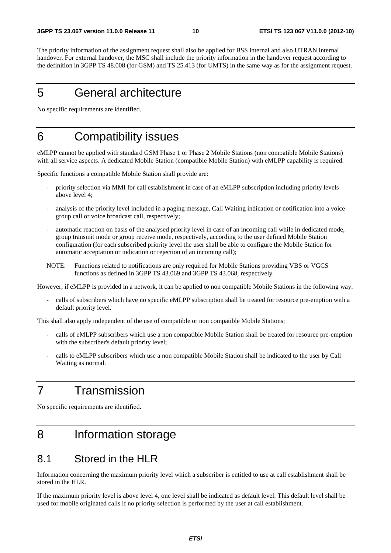The priority information of the assignment request shall also be applied for BSS internal and also UTRAN internal handover. For external handover, the MSC shall include the priority information in the handover request according to the definition in 3GPP TS 48.008 (for GSM) and TS 25.413 (for UMTS) in the same way as for the assignment request.

# 5 General architecture

No specific requirements are identified.

### 6 Compatibility issues

eMLPP cannot be applied with standard GSM Phase 1 or Phase 2 Mobile Stations (non compatible Mobile Stations) with all service aspects. A dedicated Mobile Station (compatible Mobile Station) with eMLPP capability is required.

Specific functions a compatible Mobile Station shall provide are:

- priority selection via MMI for call establishment in case of an eMLPP subscription including priority levels above level 4;
- analysis of the priority level included in a paging message, Call Waiting indication or notification into a voice group call or voice broadcast call, respectively;
- automatic reaction on basis of the analysed priority level in case of an incoming call while in dedicated mode, group transmit mode or group receive mode, respectively, according to the user defined Mobile Station configuration (for each subscribed priority level the user shall be able to configure the Mobile Station for automatic acceptation or indication or rejection of an incoming call);
- NOTE: Functions related to notifications are only required for Mobile Stations providing VBS or VGCS functions as defined in 3GPP TS 43.069 and 3GPP TS 43.068, respectively.

However, if eMLPP is provided in a network, it can be applied to non compatible Mobile Stations in the following way:

calls of subscribers which have no specific eMLPP subscription shall be treated for resource pre-emption with a default priority level.

This shall also apply independent of the use of compatible or non compatible Mobile Stations;

- calls of eMLPP subscribers which use a non compatible Mobile Station shall be treated for resource pre-emption with the subscriber's default priority level;
- calls to eMLPP subscribers which use a non compatible Mobile Station shall be indicated to the user by Call Waiting as normal.

# 7 Transmission

No specific requirements are identified.

# 8 Information storage

### 8.1 Stored in the HLR

Information concerning the maximum priority level which a subscriber is entitled to use at call establishment shall be stored in the HLR.

If the maximum priority level is above level 4, one level shall be indicated as default level. This default level shall be used for mobile originated calls if no priority selection is performed by the user at call establishment.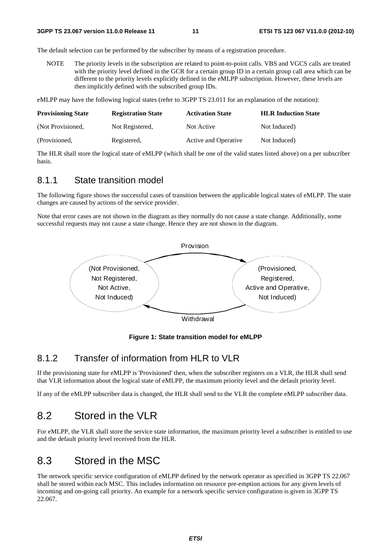The default selection can be performed by the subscriber by means of a registration procedure.

NOTE The priority levels in the subscription are related to point-to-point calls. VBS and VGCS calls are treated with the priority level defined in the GCR for a certain group ID in a certain group call area which can be different to the priority levels explicitly defined in the eMLPP subscription. However, these levels are then implicitly defined with the subscribed group IDs.

eMLPP may have the following logical states (refer to 3GPP TS 23.011 for an explanation of the notation):

| <b>Provisioning State</b> | <b>Registration State</b> | <b>Activation State</b> | <b>HLR Induction State</b> |
|---------------------------|---------------------------|-------------------------|----------------------------|
| (Not Provisioned,         | Not Registered.           | Not Active              | Not Induced)               |
| (Provisioned,             | Registered,               | Active and Operative    | Not Induced)               |

The HLR shall store the logical state of eMLPP (which shall be one of the valid states listed above) on a per subscriber basis.

#### 8.1.1 State transition model

The following figure shows the successful cases of transition between the applicable logical states of eMLPP. The state changes are caused by actions of the service provider.

Note that error cases are not shown in the diagram as they normally do not cause a state change. Additionally, some successful requests may not cause a state change. Hence they are not shown in the diagram.



**Figure 1: State transition model for eMLPP** 

### 8.1.2 Transfer of information from HLR to VLR

If the provisioning state for eMLPP is 'Provisioned' then, when the subscriber registers on a VLR, the HLR shall send that VLR information about the logical state of eMLPP, the maximum priority level and the default priority level.

If any of the eMLPP subscriber data is changed, the HLR shall send to the VLR the complete eMLPP subscriber data.

### 8.2 Stored in the VLR

For eMLPP, the VLR shall store the service state information, the maximum priority level a subscriber is entitled to use and the default priority level received from the HLR.

### 8.3 Stored in the MSC

The network specific service configuration of eMLPP defined by the network operator as specified in 3GPP TS 22.067 shall be stored within each MSC. This includes information on resource pre-emption actions for any given levels of incoming and on-going call priority. An example for a network specific service configuration is given in 3GPP TS 22.067.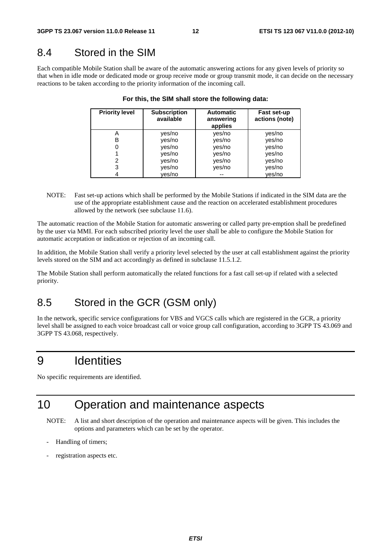### 8.4 Stored in the SIM

Each compatible Mobile Station shall be aware of the automatic answering actions for any given levels of priority so that when in idle mode or dedicated mode or group receive mode or group transmit mode, it can decide on the necessary reactions to be taken according to the priority information of the incoming call.

| <b>Priority level</b> | <b>Subscription</b><br>available | <b>Automatic</b><br>answering<br>applies | Fast set-up<br>actions (note) |
|-----------------------|----------------------------------|------------------------------------------|-------------------------------|
|                       | yes/no                           | yes/no                                   | yes/no                        |
| в                     | yes/no                           | yes/no                                   | yes/no                        |
|                       | yes/no                           | yes/no                                   | yes/no                        |
|                       | yes/no                           | yes/no                                   | yes/no                        |
|                       | yes/no                           | yes/no                                   | yes/no                        |
| 3                     | yes/no                           | yes/no                                   | yes/no                        |
|                       | ves/no                           | --                                       | ves/no                        |

|  |  |  |  | For this, the SIM shall store the following data: |  |
|--|--|--|--|---------------------------------------------------|--|
|--|--|--|--|---------------------------------------------------|--|

NOTE: Fast set-up actions which shall be performed by the Mobile Stations if indicated in the SIM data are the use of the appropriate establishment cause and the reaction on accelerated establishment procedures allowed by the network (see subclause 11.6).

The automatic reaction of the Mobile Station for automatic answering or called party pre-emption shall be predefined by the user via MMI. For each subscribed priority level the user shall be able to configure the Mobile Station for automatic acceptation or indication or rejection of an incoming call.

In addition, the Mobile Station shall verify a priority level selected by the user at call establishment against the priority levels stored on the SIM and act accordingly as defined in subclause 11.5.1.2.

The Mobile Station shall perform automatically the related functions for a fast call set-up if related with a selected priority.

# 8.5 Stored in the GCR (GSM only)

In the network, specific service configurations for VBS and VGCS calls which are registered in the GCR, a priority level shall be assigned to each voice broadcast call or voice group call configuration, according to 3GPP TS 43.069 and 3GPP TS 43.068, respectively.

# 9 Identities

No specific requirements are identified.

# 10 Operation and maintenance aspects

- NOTE: A list and short description of the operation and maintenance aspects will be given. This includes the options and parameters which can be set by the operator.
- Handling of timers;
- registration aspects etc.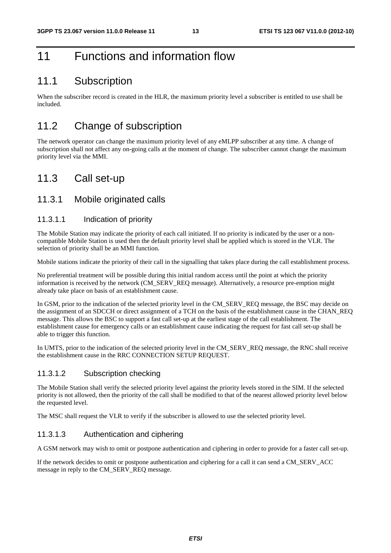# 11 Functions and information flow

### 11.1 Subscription

When the subscriber record is created in the HLR, the maximum priority level a subscriber is entitled to use shall be included.

### 11.2 Change of subscription

The network operator can change the maximum priority level of any eMLPP subscriber at any time. A change of subscription shall not affect any on-going calls at the moment of change. The subscriber cannot change the maximum priority level via the MMI.

### 11.3 Call set-up

#### 11.3.1 Mobile originated calls

#### 11.3.1.1 Indication of priority

The Mobile Station may indicate the priority of each call initiated. If no priority is indicated by the user or a noncompatible Mobile Station is used then the default priority level shall be applied which is stored in the VLR. The selection of priority shall be an MMI function.

Mobile stations indicate the priority of their call in the signalling that takes place during the call establishment process.

No preferential treatment will be possible during this initial random access until the point at which the priority information is received by the network (CM\_SERV\_REQ message). Alternatively, a resource pre-emption might already take place on basis of an establishment cause.

In GSM, prior to the indication of the selected priority level in the CM\_SERV\_REQ message, the BSC may decide on the assignment of an SDCCH or direct assignment of a TCH on the basis of the establishment cause in the CHAN\_REQ message. This allows the BSC to support a fast call set-up at the earliest stage of the call establishment. The establishment cause for emergency calls or an establishment cause indicating the request for fast call set-up shall be able to trigger this function.

In UMTS, prior to the indication of the selected priority level in the CM\_SERV\_REQ message, the RNC shall receive the establishment cause in the RRC CONNECTION SETUP REQUEST.

#### 11.3.1.2 Subscription checking

The Mobile Station shall verify the selected priority level against the priority levels stored in the SIM. If the selected priority is not allowed, then the priority of the call shall be modified to that of the nearest allowed priority level below the requested level.

The MSC shall request the VLR to verify if the subscriber is allowed to use the selected priority level.

#### 11.3.1.3 Authentication and ciphering

A GSM network may wish to omit or postpone authentication and ciphering in order to provide for a faster call set-up.

If the network decides to omit or postpone authentication and ciphering for a call it can send a CM\_SERV\_ACC message in reply to the CM\_SERV\_REQ message.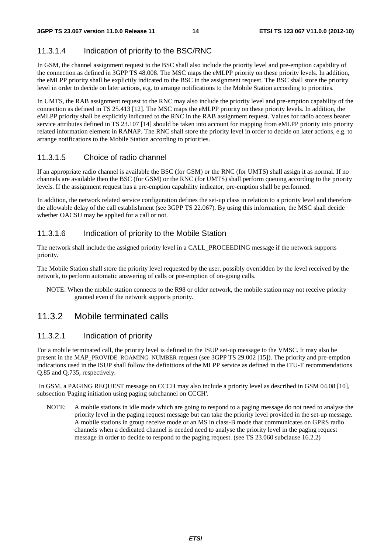### 11.3.1.4 Indication of priority to the BSC/RNC

In GSM, the channel assignment request to the BSC shall also include the priority level and pre-emption capability of the connection as defined in 3GPP TS 48.008. The MSC maps the eMLPP priority on these priority levels. In addition, the eMLPP priority shall be explicitly indicated to the BSC in the assignment request. The BSC shall store the priority level in order to decide on later actions, e.g. to arrange notifications to the Mobile Station according to priorities.

In UMTS, the RAB assignment request to the RNC may also include the priority level and pre-emption capability of the connection as defined in TS 25.413 [12]. The MSC maps the eMLPP priority on these priority levels. In addition, the eMLPP priority shall be explicitly indicated to the RNC in the RAB assignment request. Values for radio access bearer service attributes defined in TS 23.107 [14] should be taken into account for mapping from eMLPP priority into priority related information element in RANAP. The RNC shall store the priority level in order to decide on later actions, e.g. to arrange notifications to the Mobile Station according to priorities.

#### 11.3.1.5 Choice of radio channel

If an appropriate radio channel is available the BSC (for GSM) or the RNC (for UMTS) shall assign it as normal. If no channels are available then the BSC (for GSM) or the RNC (for UMTS) shall perform queuing according to the priority levels. If the assignment request has a pre-emption capability indicator, pre-emption shall be performed.

In addition, the network related service configuration defines the set-up class in relation to a priority level and therefore the allowable delay of the call establishment (see 3GPP TS 22.067). By using this information, the MSC shall decide whether OACSU may be applied for a call or not.

#### 11.3.1.6 Indication of priority to the Mobile Station

The network shall include the assigned priority level in a CALL\_PROCEEDING message if the network supports priority.

The Mobile Station shall store the priority level requested by the user, possibly overridden by the level received by the network, to perform automatic answering of calls or pre-emption of on-going calls.

NOTE: When the mobile station connects to the R98 or older network, the mobile station may not receive priority granted even if the network supports priority.

### 11.3.2 Mobile terminated calls

#### 11.3.2.1 Indication of priority

For a mobile terminated call, the priority level is defined in the ISUP set-up message to the VMSC. It may also be present in the MAP\_PROVIDE\_ROAMING\_NUMBER request (see 3GPP TS 29.002 [15]). The priority and pre-emption indications used in the ISUP shall follow the definitions of the MLPP service as defined in the ITU-T recommendations Q.85 and Q.735, respectively.

 In GSM, a PAGING REQUEST message on CCCH may also include a priority level as described in GSM 04.08 [10], subsection 'Paging initiation using paging subchannel on CCCH'.

NOTE: A mobile stations in idle mode which are going to respond to a paging message do not need to analyse the priority level in the paging request message but can take the priority level provided in the set-up message. A mobile stations in group receive mode or an MS in class-B mode that communicates on GPRS radio channels when a dedicated channel is needed need to analyse the priority level in the paging request message in order to decide to respond to the paging request. (see TS 23.060 subclause 16.2.2)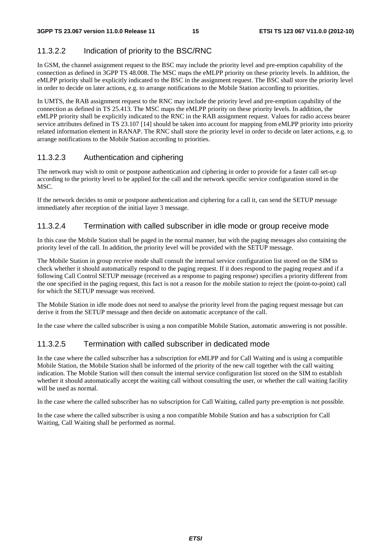### 11.3.2.2 Indication of priority to the BSC/RNC

In GSM, the channel assignment request to the BSC may include the priority level and pre-emption capability of the connection as defined in 3GPP TS 48.008. The MSC maps the eMLPP priority on these priority levels. In addition, the eMLPP priority shall be explicitly indicated to the BSC in the assignment request. The BSC shall store the priority level in order to decide on later actions, e.g. to arrange notifications to the Mobile Station according to priorities.

In UMTS, the RAB assignment request to the RNC may include the priority level and pre-emption capability of the connection as defined in TS 25.413. The MSC maps the eMLPP priority on these priority levels. In addition, the eMLPP priority shall be explicitly indicated to the RNC in the RAB assignment request. Values for radio access bearer service attributes defined in TS 23.107 [14] should be taken into account for mapping from eMLPP priority into priority related information element in RANAP. The RNC shall store the priority level in order to decide on later actions, e.g. to arrange notifications to the Mobile Station according to priorities.

#### 11.3.2.3 Authentication and ciphering

The network may wish to omit or postpone authentication and ciphering in order to provide for a faster call set-up according to the priority level to be applied for the call and the network specific service configuration stored in the MSC.

If the network decides to omit or postpone authentication and ciphering for a call it, can send the SETUP message immediately after reception of the initial layer 3 message.

#### 11.3.2.4 Termination with called subscriber in idle mode or group receive mode

In this case the Mobile Station shall be paged in the normal manner, but with the paging messages also containing the priority level of the call. In addition, the priority level will be provided with the SETUP message.

The Mobile Station in group receive mode shall consult the internal service configuration list stored on the SIM to check whether it should automatically respond to the paging request. If it does respond to the paging request and if a following Call Control SETUP message (received as a response to paging response) specifies a priority different from the one specified in the paging request, this fact is not a reason for the mobile station to reject the (point-to-point) call for which the SETUP message was received.

The Mobile Station in idle mode does not need to analyse the priority level from the paging request message but can derive it from the SETUP message and then decide on automatic acceptance of the call.

In the case where the called subscriber is using a non compatible Mobile Station, automatic answering is not possible.

#### 11.3.2.5 Termination with called subscriber in dedicated mode

In the case where the called subscriber has a subscription for eMLPP and for Call Waiting and is using a compatible Mobile Station, the Mobile Station shall be informed of the priority of the new call together with the call waiting indication. The Mobile Station will then consult the internal service configuration list stored on the SIM to establish whether it should automatically accept the waiting call without consulting the user, or whether the call waiting facility will be used as normal.

In the case where the called subscriber has no subscription for Call Waiting, called party pre-emption is not possible.

In the case where the called subscriber is using a non compatible Mobile Station and has a subscription for Call Waiting, Call Waiting shall be performed as normal.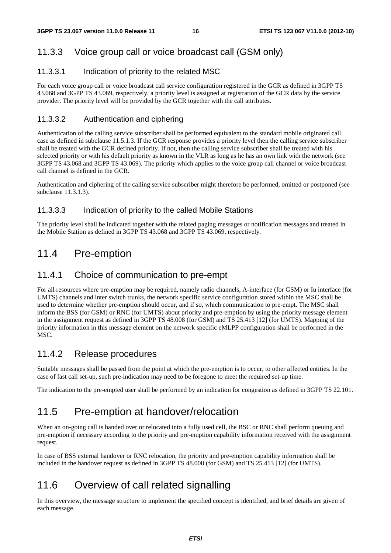### 11.3.3 Voice group call or voice broadcast call (GSM only)

#### 11.3.3.1 Indication of priority to the related MSC

For each voice group call or voice broadcast call service configuration registered in the GCR as defined in 3GPP TS 43.068 and 3GPP TS 43.069, respectively, a priority level is assigned at registration of the GCR data by the service provider. The priority level will be provided by the GCR together with the call attributes.

#### 11.3.3.2 Authentication and ciphering

Authentication of the calling service subscriber shall be performed equivalent to the standard mobile originated call case as defined in subclause 11.5.1.3. If the GCR response provides a priority level then the calling service subscriber shall be treated with the GCR defined priority. If not, then the calling service subscriber shall be treated with his selected priority or with his default priority as known in the VLR as long as he has an own link with the network (see 3GPP TS 43.068 and 3GPP TS 43.069). The priority which applies to the voice group call channel or voice broadcast call channel is defined in the GCR.

Authentication and ciphering of the calling service subscriber might therefore be performed, omitted or postponed (see subclause 11.3.1.3).

#### 11.3.3.3 Indication of priority to the called Mobile Stations

The priority level shall be indicated together with the related paging messages or notification messages and treated in the Mobile Station as defined in 3GPP TS 43.068 and 3GPP TS 43.069, respectively.

### 11.4 Pre-emption

### 11.4.1 Choice of communication to pre-empt

For all resources where pre-emption may be required, namely radio channels, A-interface (for GSM) or Iu interface (for UMTS) channels and inter switch trunks, the network specific service configuration stored within the MSC shall be used to determine whether pre-emption should occur, and if so, which communication to pre-empt. The MSC shall inform the BSS (for GSM) or RNC (for UMTS) about priority and pre-emption by using the priority message element in the assignment request as defined in 3GPP TS 48.008 (for GSM) and TS 25.413 [12] (for UMTS). Mapping of the priority information in this message element on the network specific eMLPP configuration shall be performed in the MSC.

### 11.4.2 Release procedures

Suitable messages shall be passed from the point at which the pre-emption is to occur, to other affected entities. In the case of fast call set-up, such pre-indication may need to be foregone to meet the required set-up time.

The indication to the pre-empted user shall be performed by an indication for congestion as defined in 3GPP TS 22.101.

### 11.5 Pre-emption at handover/relocation

When an on-going call is handed over or relocated into a fully used cell, the BSC or RNC shall perform queuing and pre-emption if necessary according to the priority and pre-emption capability information received with the assignment request.

In case of BSS external handover or RNC relocation, the priority and pre-emption capability information shall be included in the handover request as defined in 3GPP TS 48.008 (for GSM) and TS 25.413 [12] (for UMTS).

### 11.6 Overview of call related signalling

In this overview, the message structure to implement the specified concept is identified, and brief details are given of each message.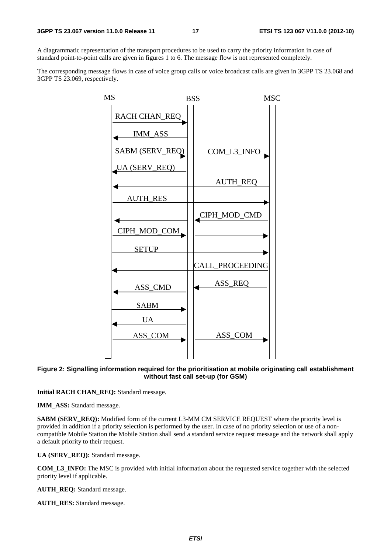A diagrammatic representation of the transport procedures to be used to carry the priority information in case of standard point-to-point calls are given in figures 1 to 6. The message flow is not represented completely.

The corresponding message flows in case of voice group calls or voice broadcast calls are given in 3GPP TS 23.068 and 3GPP TS 23.069, respectively.



#### **Figure 2: Signalling information required for the prioritisation at mobile originating call establishment without fast call set-up (for GSM)**

**Initial RACH CHAN\_REQ:** Standard message.

**IMM\_ASS:** Standard message.

**SABM (SERV\_REQ):** Modified form of the current L3-MM CM SERVICE REQUEST where the priority level is provided in addition if a priority selection is performed by the user. In case of no priority selection or use of a noncompatible Mobile Station the Mobile Station shall send a standard service request message and the network shall apply a default priority to their request.

**UA (SERV\_REQ):** Standard message.

**COM\_L3\_INFO:** The MSC is provided with initial information about the requested service together with the selected priority level if applicable.

**AUTH\_REQ:** Standard message.

**AUTH\_RES:** Standard message.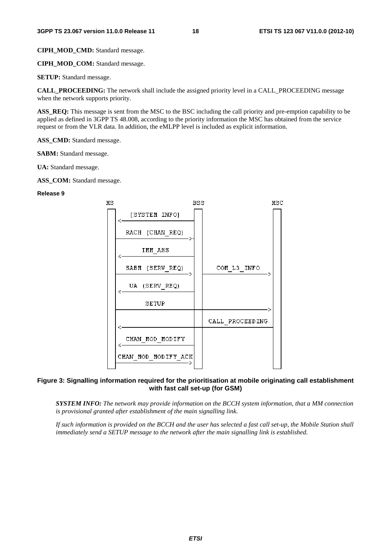**CIPH\_MOD\_CMD:** Standard message.

**CIPH\_MOD\_COM:** Standard message.

**SETUP:** Standard message.

**CALL\_PROCEEDING:** The network shall include the assigned priority level in a CALL\_PROCEEDING message when the network supports priority.

ASS REQ: This message is sent from the MSC to the BSC including the call priority and pre-emption capability to be applied as defined in 3GPP TS 48.008, according to the priority information the MSC has obtained from the service request or from the VLR data. In addition, the eMLPP level is included as explicit information.

ASS CMD: Standard message.

**SABM:** Standard message.

**UA:** Standard message.

**ASS\_COM:** Standard message.

#### **Release 9**



#### **Figure 3: Signalling information required for the prioritisation at mobile originating call establishment with fast call set-up (for GSM)**

 *SYSTEM INFO: The network may provide information on the BCCH system information, that a MM connection is provisional granted after establishment of the main signalling link.* 

 *If such information is provided on the BCCH and the user has selected a fast call set-up, the Mobile Station shall immediately send a SETUP message to the network after the main signalling link is established.*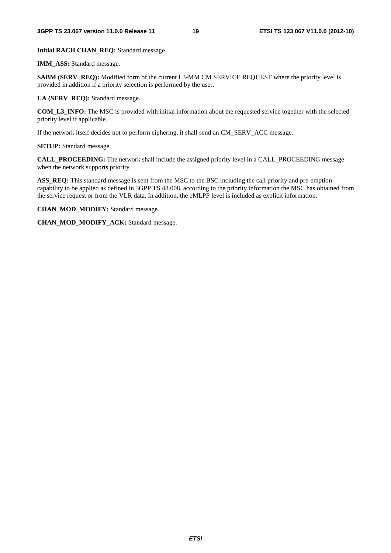**Initial RACH CHAN\_REQ:** Standard message.

**IMM\_ASS:** Standard message.

**SABM (SERV\_REQ):** Modified form of the current L3-MM CM SERVICE REQUEST where the priority level is provided in addition if a priority selection is performed by the user.

**UA (SERV\_REQ):** Standard message.

**COM\_L3\_INFO:** The MSC is provided with initial information about the requested service together with the selected priority level if applicable.

If the network itself decides not to perform ciphering, it shall send an CM\_SERV\_ACC message.

**SETUP:** Standard message.

**CALL\_PROCEEDING:** The network shall include the assigned priority level in a CALL\_PROCEEDING message when the network supports priority

ASS REQ: This standard message is sent from the MSC to the BSC including the call priority and pre-emption capability to be applied as defined in 3GPP TS 48.008, according to the priority information the MSC has obtained from the service request or from the VLR data. In addition, the eMLPP level is included as explicit information.

**CHAN\_MOD\_MODIFY:** Standard message.

**CHAN\_MOD\_MODIFY\_ACK:** Standard message.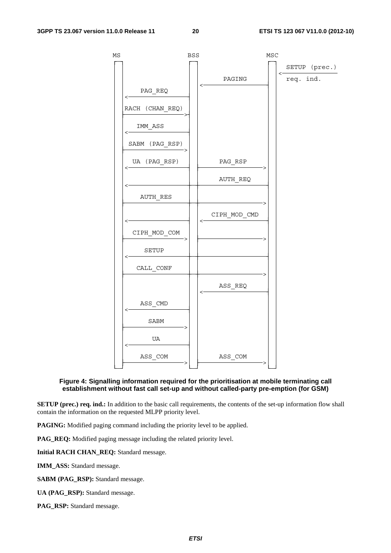

#### **Figure 4: Signalling information required for the prioritisation at mobile terminating call establishment without fast call set-up and without called-party pre-emption (for GSM)**

**SETUP (prec.) req. ind.:** In addition to the basic call requirements, the contents of the set-up information flow shall contain the information on the requested MLPP priority level.

**PAGING:** Modified paging command including the priority level to be applied.

**PAG\_REQ:** Modified paging message including the related priority level.

**Initial RACH CHAN\_REQ:** Standard message.

**IMM\_ASS:** Standard message.

**SABM (PAG\_RSP):** Standard message.

**UA (PAG\_RSP):** Standard message.

**PAG\_RSP:** Standard message.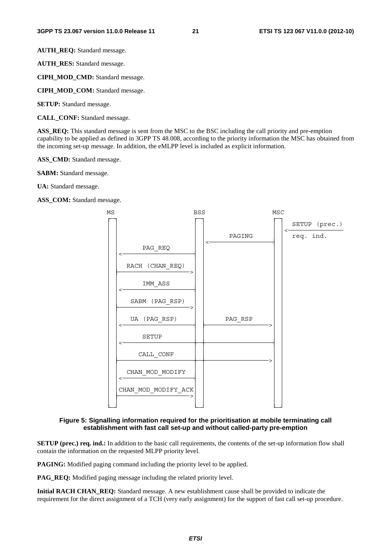**AUTH\_REQ:** Standard message.

**AUTH\_RES:** Standard message.

**CIPH\_MOD\_CMD:** Standard message.

**CIPH\_MOD\_COM:** Standard message.

**SETUP:** Standard message.

**CALL\_CONF:** Standard message.

**ASS\_REQ:** This standard message is sent from the MSC to the BSC including the call priority and pre-emption capability to be applied as defined in 3GPP TS 48.008, according to the priority information the MSC has obtained from the incoming set-up message. In addition, the eMLPP level is included as explicit information.

**ASS\_CMD:** Standard message.

**SABM:** Standard message.

**UA:** Standard message.

**ASS\_COM:** Standard message.



#### **Figure 5: Signalling information required for the prioritisation at mobile terminating call establishment with fast call set-up and without called-party pre-emption**

**SETUP (prec.) req. ind.:** In addition to the basic call requirements, the contents of the set-up information flow shall contain the information on the requested MLPP priority level.

**PAGING:** Modified paging command including the priority level to be applied.

**PAG\_REQ:** Modified paging message including the related priority level.

**Initial RACH CHAN\_REQ:** Standard message. A new establishment cause shall be provided to indicate the requirement for the direct assignment of a TCH (very early assignment) for the support of fast call set-up procedure.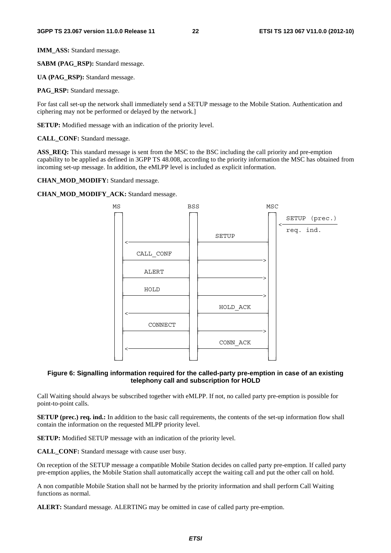**IMM\_ASS:** Standard message.

**SABM (PAG\_RSP):** Standard message.

**UA (PAG\_RSP):** Standard message.

**PAG\_RSP:** Standard message.

For fast call set-up the network shall immediately send a SETUP message to the Mobile Station. Authentication and ciphering may not be performed or delayed by the network.]

**SETUP:** Modified message with an indication of the priority level.

**CALL\_CONF:** Standard message.

**ASS\_REQ:** This standard message is sent from the MSC to the BSC including the call priority and pre-emption capability to be applied as defined in 3GPP TS 48.008, according to the priority information the MSC has obtained from incoming set-up message. In addition, the eMLPP level is included as explicit information.

**CHAN\_MOD\_MODIFY:** Standard message.

**CHAN\_MOD\_MODIFY\_ACK:** Standard message.



#### **Figure 6: Signalling information required for the called-party pre-emption in case of an existing telephony call and subscription for HOLD**

Call Waiting should always be subscribed together with eMLPP. If not, no called party pre-emption is possible for point-to-point calls.

**SETUP (prec.) req. ind.:** In addition to the basic call requirements, the contents of the set-up information flow shall contain the information on the requested MLPP priority level.

**SETUP:** Modified SETUP message with an indication of the priority level.

**CALL\_CONF:** Standard message with cause user busy.

On reception of the SETUP message a compatible Mobile Station decides on called party pre-emption. If called party pre-emption applies, the Mobile Station shall automatically accept the waiting call and put the other call on hold.

A non compatible Mobile Station shall not be harmed by the priority information and shall perform Call Waiting functions as normal.

**ALERT:** Standard message. ALERTING may be omitted in case of called party pre-emption.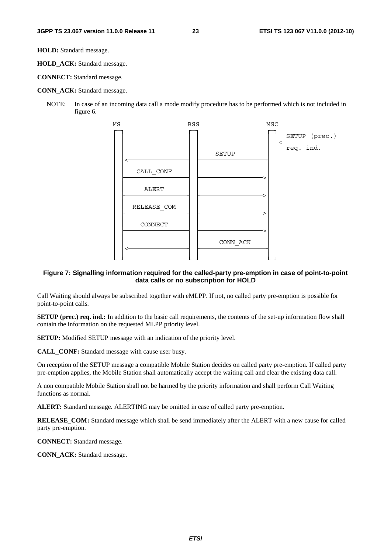**HOLD:** Standard message.

**HOLD\_ACK:** Standard message.

**CONNECT:** Standard message.

#### **CONN\_ACK:** Standard message.

NOTE: In case of an incoming data call a mode modify procedure has to be performed which is not included in figure 6.



#### **Figure 7: Signalling information required for the called-party pre-emption in case of point-to-point data calls or no subscription for HOLD**

Call Waiting should always be subscribed together with eMLPP. If not, no called party pre-emption is possible for point-to-point calls.

**SETUP (prec.) req. ind.:** In addition to the basic call requirements, the contents of the set-up information flow shall contain the information on the requested MLPP priority level.

**SETUP:** Modified SETUP message with an indication of the priority level.

**CALL\_CONF:** Standard message with cause user busy.

On reception of the SETUP message a compatible Mobile Station decides on called party pre-emption. If called party pre-emption applies, the Mobile Station shall automatically accept the waiting call and clear the existing data call.

A non compatible Mobile Station shall not be harmed by the priority information and shall perform Call Waiting functions as normal.

**ALERT:** Standard message. ALERTING may be omitted in case of called party pre-emption.

**RELEASE\_COM:** Standard message which shall be send immediately after the ALERT with a new cause for called party pre-emption.

**CONNECT:** Standard message.

**CONN\_ACK:** Standard message.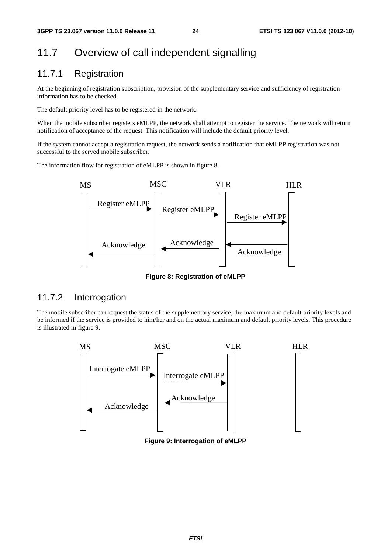### 11.7 Overview of call independent signalling

### 11.7.1 Registration

At the beginning of registration subscription, provision of the supplementary service and sufficiency of registration information has to be checked.

The default priority level has to be registered in the network.

When the mobile subscriber registers eMLPP, the network shall attempt to register the service. The network will return notification of acceptance of the request. This notification will include the default priority level.

If the system cannot accept a registration request, the network sends a notification that eMLPP registration was not successful to the served mobile subscriber.

The information flow for registration of eMLPP is shown in figure 8.



**Figure 8: Registration of eMLPP** 

#### 11.7.2 Interrogation

The mobile subscriber can request the status of the supplementary service, the maximum and default priority levels and be informed if the service is provided to him/her and on the actual maximum and default priority levels. This procedure is illustrated in figure 9.



**Figure 9: Interrogation of eMLPP**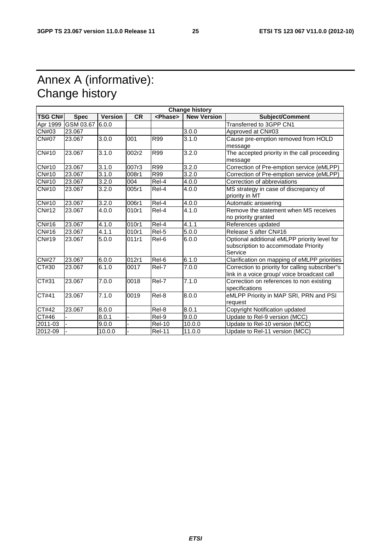# Annex A (informative): Change history

| <b>Change history</b> |             |                |           |                 |                    |                                                 |
|-----------------------|-------------|----------------|-----------|-----------------|--------------------|-------------------------------------------------|
| <b>TSG CN#</b>        | <b>Spec</b> | <b>Version</b> | <b>CR</b> | <phase></phase> | <b>New Version</b> | <b>Subject/Comment</b>                          |
| Apr 1999              | GSM 03.67   | 6.0.0          |           |                 |                    | Transferred to 3GPP CN1                         |
| CN#03                 | 23.067      |                |           |                 | 3.0.0              | Approved at CN#03                               |
| CN#07                 | 23.067      | 3.0.0          | 001       | R99             | 3.1.0              | Cause pre-emption removed from HOLD             |
|                       |             |                |           |                 |                    | message                                         |
| <b>CN#10</b>          | 23.067      | 3.1.0          | 002r2     | R99             | 3.2.0              | The accepted priority in the call proceeding    |
|                       |             |                |           |                 |                    | message                                         |
| <b>CN#10</b>          | 23.067      | 3.1.0          | 007r3     | R99             | 3.2.0              | Correction of Pre-emption service (eMLPP)       |
| CN#10                 | 23.067      | 3.1.0          | 008r1     | R99             | 3.2.0              | Correction of Pre-emption service (eMLPP)       |
| CN#10                 | 23.067      | 3.2.0          | 004       | Rel-4           | 4.0.0              | Correction of abbreviations                     |
| CN#10                 | 23.067      | 3.2.0          | 005r1     | Rel-4           | 4.0.0              | MS strategy in case of discrepancy of           |
|                       |             |                |           |                 |                    | priority in MT                                  |
| CN#10                 | 23.067      | 3.2.0          | 006r1     | Rel-4           | 4.0.0              | Automatic answering                             |
| CN#12                 | 23.067      | 4.0.0          | 010r1     | Rel-4           | 4.1.0              | Remove the statement when MS receives           |
|                       |             |                |           |                 |                    | no priority granted                             |
| CN#16                 | 23.067      | 4.1.0          | 010r1     | Rel-4           | 4.1.1              | References updated                              |
| CN#16                 | 23.067      | 4.1.1          | 010r1     | Rel-5           | 5.0.0              | Release 5 after CN#16                           |
| CN#19                 | 23.067      | 5.0.0          | 011r1     | Rel-6           | 6.0.0              | Optional additional eMLPP priority level for    |
|                       |             |                |           |                 |                    | subscription to accommodate Priority            |
|                       |             |                |           |                 |                    | Service                                         |
| <b>CN#27</b>          | 23.067      | 6.0.0          | 012r1     | Rel-6           | 6.1.0              | Clarification on mapping of eMLPP priorities    |
| CT#30                 | 23.067      | 6.1.0          | 0017      | Rel-7           | 7.0.0              | Correction to priority for calling subscriber"s |
|                       |             |                |           |                 |                    | link in a voice group/ voice broadcast call     |
| CT#31                 | 23.067      | 7.0.0          | 0018      | Rel-7           | 7.1.0              | Correction on references to non existing        |
|                       |             |                |           |                 |                    | specifications                                  |
| CT#41                 | 23.067      | 7.1.0          | 0019      | Rel-8           | 8.0.0              | eMLPP Priority in MAP SRI, PRN and PSI          |
|                       |             |                |           |                 |                    | request                                         |
| CT#42                 | 23.067      | 8.0.0          |           | Rel-8           | 8.0.1              | Copyright Notification updated                  |
| CT#46                 |             | 8.0.1          |           | Rel-9           | 9.0.0              | Update to Rel-9 version (MCC)                   |
| 2011-03               |             | 9.0.0          |           | <b>Rel-10</b>   | 10.0.0             | Update to Rel-10 version (MCC)                  |
| 2012-09               |             | 10.0.0         |           | <b>Rel-11</b>   | 11.0.0             | Update to Rel-11 version (MCC)                  |